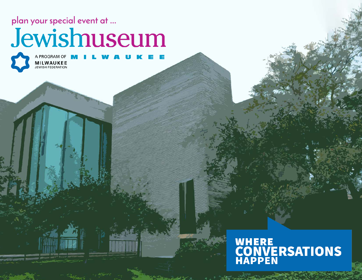**plan your special event at ...**

## Jewishuseum



A PROGRAM OF **M MILWAUKEE** 

# WHERE<br>CONVERSATIONS<br>HAPPEN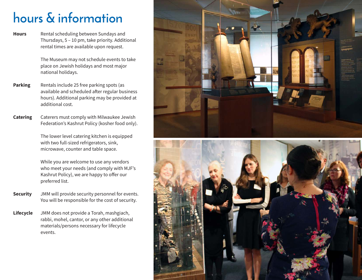### **hours & information**

Rental scheduling between Sundays and Thursdays, 5 – 10 pm, take priority. Additional rental times are available upon request. **Hours**

> The Museum may not schedule events to take place on Jewish holidays and most major national holidays.

- Rentals include 25 free parking spots (as available and scheduled after regular business hours). Additional parking may be provided at additional cost. **Parking**
- Caterers must comply with Milwaukee Jewish Federation's Kashrut Policy (kosher food only). **Catering**

The lower level catering kitchen is equipped with two full-sized refrigerators, sink, microwave, counter and table space.

While you are welcome to use any vendors who meet your needs (and comply with MJF's Kashrut Policy), we are happy to offer our preferred list.

- JMM will provide security personnel for events. You will be responsible for the cost of security. **Security**
- JMM does not provide a Torah, mashgiach, rabbi, mohel, cantor, or any other additional materials/persons necessary for lifecycle events. **Lifecycle**



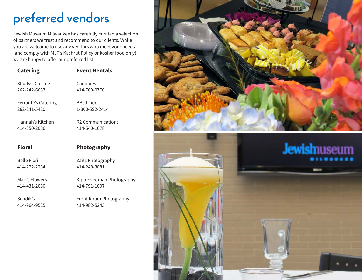#### **preferred vendors**

Jewish Museum Milwaukee has carefully curated a selection of partners we trust and recommend to our clients. While you are welcome to use any vendors who meet your needs (and comply with MJF's Kashrut Policy or kosher food only), we are happy to offer our preferred list.

| <b>Catering</b>     | <b>Event Rentals</b>          |
|---------------------|-------------------------------|
| Shullys' Cuisine    | Canopies                      |
| 262-242-6633        | 414-760-0770                  |
| Ferrante's Catering | <b>BBJ</b> linen              |
| 262-241-5420        | 1-800-592-2414                |
| Hannah's Kitchen    | R <sub>2</sub> Communications |
| 414-350-2086        | 414-540-1678                  |
|                     |                               |
| <b>Floral</b>       | Photography                   |
| <b>Belle Fiori</b>  | Zaitz Photography             |
| 414-272-2234        | 414-248-3881                  |
| Mari's Flowers      | Kipp Friedman Photography     |
| 414-431-2030        | 414-791-1007                  |
| Sendik's            | Front Room Photography        |
| 414-964-9525        | 414-982-5243                  |